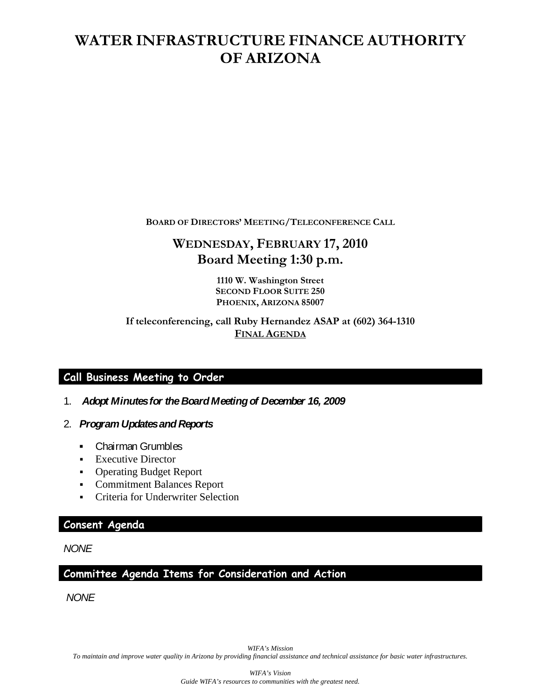# **WATER INFRASTRUCTURE FINANCE AUTHORITY OF ARIZONA**

**BOARD OF DIRECTORS' MEETING/TELECONFERENCE CALL**

# **WEDNESDAY, FEBRUARY 17, 2010 Board Meeting 1:30 p.m.**

**1110 W. Washington Street SECOND FLOOR SUITE 250 PHOENIX, ARIZONA 85007**

**If teleconferencing, call Ruby Hernandez ASAP at (602) 364-1310 FINAL AGENDA**

# **Call Business Meeting to Order**

- 1. *Adopt Minutes for the Board Meeting of December 16, 2009*
- 2. *Program Updates and Reports*
	- *▪* Chairman Grumbles
	- **Executive Director**
	- Operating Budget Report
	- Commitment Balances Report
	- Criteria for Underwriter Selection

### **Consent Agenda**

*NONE*

**Committee Agenda Items for Consideration and Action** 

*NONE*

*WIFA's Mission To maintain and improve water quality in Arizona by providing financial assistance and technical assistance for basic water infrastructures.*